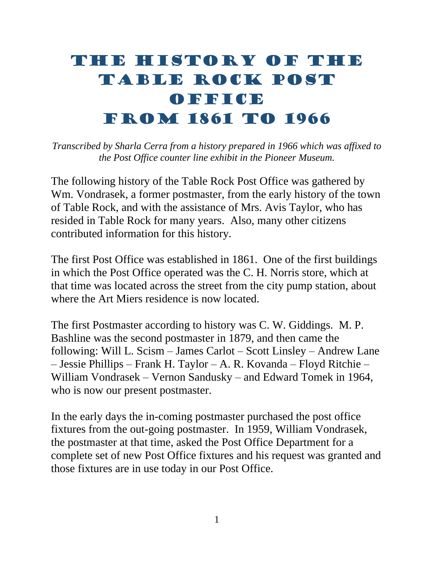## THE HISTORY OF THE TABLE ROCK POST OFFICE FROM 1861 TO 1966

*Transcribed by Sharla Cerra from a history prepared in 1966 which was affixed to the Post Office counter line exhibit in the Pioneer Museum.* 

The following history of the Table Rock Post Office was gathered by Wm. Vondrasek, a former postmaster, from the early history of the town of Table Rock, and with the assistance of Mrs. Avis Taylor, who has resided in Table Rock for many years. Also, many other citizens contributed information for this history.

The first Post Office was established in 1861. One of the first buildings in which the Post Office operated was the C. H. Norris store, which at that time was located across the street from the city pump station, about where the Art Miers residence is now located.

The first Postmaster according to history was C. W. Giddings. M. P. Bashline was the second postmaster in 1879, and then came the following: Will L. Scism – James Carlot – Scott Linsley – Andrew Lane – Jessie Phillips – Frank H. Taylor – A. R. Kovanda – Floyd Ritchie – William Vondrasek – Vernon Sandusky – and Edward Tomek in 1964, who is now our present postmaster.

In the early days the in-coming postmaster purchased the post office fixtures from the out-going postmaster. In 1959, William Vondrasek, the postmaster at that time, asked the Post Office Department for a complete set of new Post Office fixtures and his request was granted and those fixtures are in use today in our Post Office.